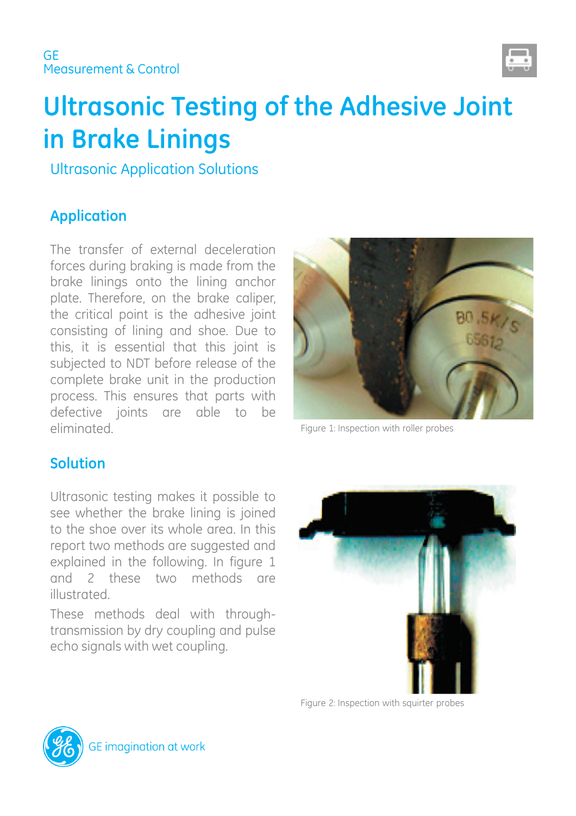

# **Ultrasonic Testing of the Adhesive Joint in Brake Linings**

Ultrasonic Application Solutions

# **Application**

The transfer of external deceleration forces during braking is made from the brake linings onto the lining anchor plate. Therefore, on the brake caliper, the critical point is the adhesive joint consisting of lining and shoe. Due to this, it is essential that this joint is subjected to NDT before release of the complete brake unit in the production process. This ensures that parts with defective joints are able to be eliminated.



Figure 1: Inspection with roller probes

# **Solution**

Ultrasonic testing makes it possible to see whether the brake lining is joined to the shoe over its whole area. In this report two methods are suggested and explained in the following. In figure 1 and 2 these two methods are illustrated.

These methods deal with throughtransmission by dry coupling and pulse echo signals with wet coupling.



Figure 2: Inspection with squirter probes